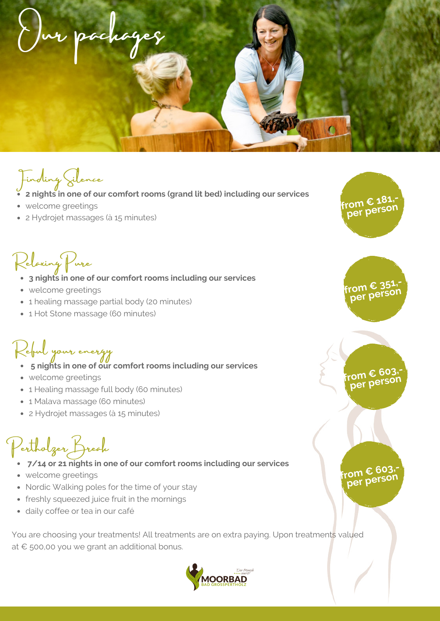Our packages

Finding Silence

- **2 nights in one of our comfort rooms (grand lit bed) including our services**
- welcome greetings
- 2 Hydrojet massages (à 15 minutes)

Relaxing Pure

- **3 nights in one of our comfort rooms including our services**
- welcome greetings
- **a** a healing massage partial body (20 minutes) **A MOOR. EXAMPLE 1 CONSUMPLE 1** *NOCE PCI***<sup>DCI</sup>**
- 1 Hot Stone massage (60 minutes)

# Reful your energy

- **5 nights in one of our comfort rooms including our services**
- welcome greetings
- 1 Healing massage full body (60 minutes)
- 1 Malava massage (60 minutes)
- 2 Hydrojet massages (à 15 minutes)

# Pertholzer Break

- **7/14 or 21 nights in one of our comfort rooms including our services**
- welcome greetings
- Nordic Walking poles for the time of your stay
- freshly squeezed juice fruit in the mornings
- daily coffee or tea in our café

You are choosing your treatments! All treatments are on extra paying. Upon treatments valued at € 500,00 you we grant an additional bonus.



**from € 351, per** pers

**from € 181, per person**

#### **from € 603, per** person

### **from € 603, per person**